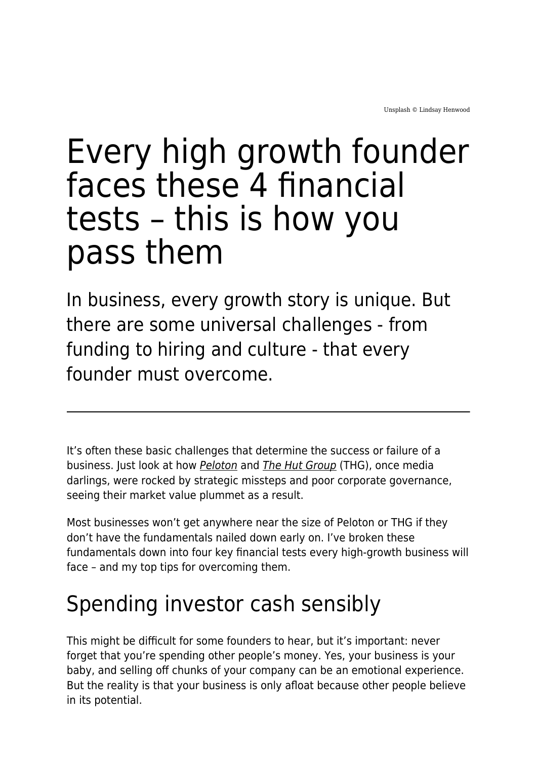# Every high growth founder faces these 4 financial tests – this is how you pass them

In business, every growth story is unique. But there are some universal challenges - from funding to hiring and culture - that every founder must overcome.

It's often these basic challenges that determine the success or failure of a business. Just look at how **[Peloton](https://www.ft.com/content/b3693cfe-ad2a-44d5-a447-46fc4edf6937)** and **[The Hut Group](https://www.thg.com/)** (THG), once media darlings, were rocked by strategic missteps and poor corporate governance, seeing their market value plummet as a result.

Most businesses won't get anywhere near the size of Peloton or THG if they don't have the fundamentals nailed down early on. I've broken these fundamentals down into four key financial tests every high-growth business will face – and my top tips for overcoming them.

## Spending investor cash sensibly

This might be difficult for some founders to hear, but it's important: never forget that you're spending other people's money. Yes, your business is your baby, and selling off chunks of your company can be an emotional experience. But the reality is that your business is only afloat because other people believe in its potential.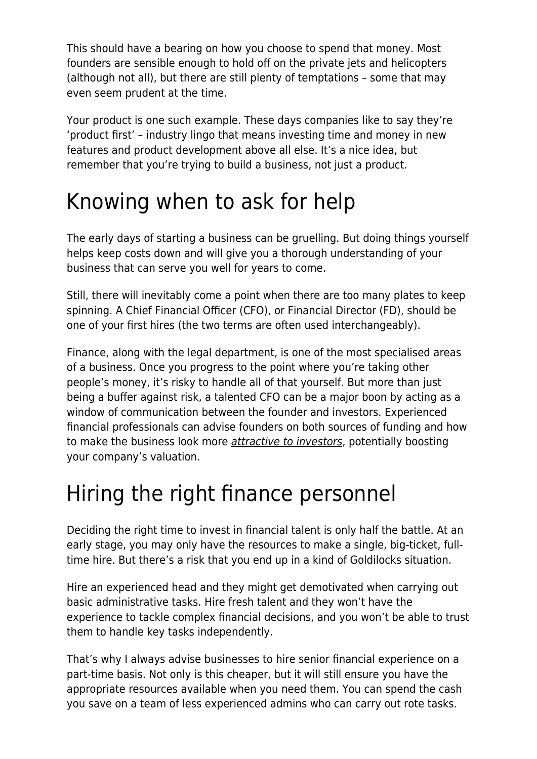This should have a bearing on how you choose to spend that money. Most founders are sensible enough to hold off on the private jets and helicopters (although not all), but there are still plenty of temptations – some that may even seem prudent at the time.

Your product is one such example. These days companies like to say they're 'product first' – industry lingo that means investing time and money in new features and product development above all else. It's a nice idea, but remember that you're trying to build a business, not just a product.

#### Knowing when to ask for help

The early days of starting a business can be gruelling. But doing things yourself helps keep costs down and will give you a thorough understanding of your business that can serve you well for years to come.

Still, there will inevitably come a point when there are too many plates to keep spinning. A Chief Financial Officer (CFO), or Financial Director (FD), should be one of your first hires (the two terms are often used interchangeably).

Finance, along with the legal department, is one of the most specialised areas of a business. Once you progress to the point where you're taking other people's money, it's risky to handle all of that yourself. But more than just being a buffer against risk, a talented CFO can be a major boon by acting as a window of communication between the founder and investors. Experienced financial professionals can advise founders on both sources of funding and how to make the business look more [attractive to investors](https://www.maddyness.com/uk/2022/01/18/startup-success-the-difference-between-good-and-bad-financial-advice/), potentially boosting your company's valuation.

## Hiring the right finance personnel

Deciding the right time to invest in financial talent is only half the battle. At an early stage, you may only have the resources to make a single, big-ticket, fulltime hire. But there's a risk that you end up in a kind of Goldilocks situation.

Hire an experienced head and they might get demotivated when carrying out basic administrative tasks. Hire fresh talent and they won't have the experience to tackle complex financial decisions, and you won't be able to trust them to handle key tasks independently.

That's why I always advise businesses to hire senior financial experience on a part-time basis. Not only is this cheaper, but it will still ensure you have the appropriate resources available when you need them. You can spend the cash you save on a team of less experienced admins who can carry out rote tasks.